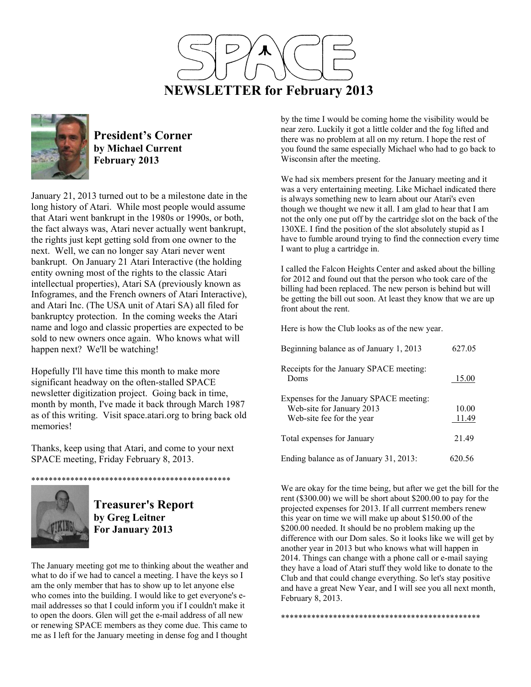



**President's Corner by Michael Current February 2013**

January 21, 2013 turned out to be a milestone date in the long history of Atari. While most people would assume that Atari went bankrupt in the 1980s or 1990s, or both, the fact always was, Atari never actually went bankrupt, the rights just kept getting sold from one owner to the next. Well, we can no longer say Atari never went bankrupt. On January 21 Atari Interactive (the holding entity owning most of the rights to the classic Atari intellectual properties), Atari SA (previously known as Infogrames, and the French owners of Atari Interactive), and Atari Inc. (The USA unit of Atari SA) all filed for bankruptcy protection. In the coming weeks the Atari name and logo and classic properties are expected to be sold to new owners once again. Who knows what will happen next? We'll be watching!

Hopefully I'll have time this month to make more significant headway on the often-stalled SPACE newsletter digitization project. Going back in time, month by month, I've made it back through March 1987 as of this writing. Visit space.atari.org to bring back old memories!

Thanks, keep using that Atari, and come to your next SPACE meeting, Friday February 8, 2013.



**Treasurer's Report by Greg Leitner For January 2013** 

The January meeting got me to thinking about the weather and what to do if we had to cancel a meeting. I have the keys so I am the only member that has to show up to let anyone else who comes into the building. I would like to get everyone's email addresses so that I could inform you if I couldn't make it to open the doors. Glen will get the e-mail address of all new or renewing SPACE members as they come due. This came to me as I left for the January meeting in dense fog and I thought

by the time I would be coming home the visibility would be near zero. Luckily it got a little colder and the fog lifted and there was no problem at all on my return. I hope the rest of you found the same especially Michael who had to go back to Wisconsin after the meeting.

We had six members present for the January meeting and it was a very entertaining meeting. Like Michael indicated there is always something new to learn about our Atari's even though we thought we new it all. I am glad to hear that I am not the only one put off by the cartridge slot on the back of the 130XE. I find the position of the slot absolutely stupid as I have to fumble around trying to find the connection every time I want to plug a cartridge in.

I called the Falcon Heights Center and asked about the billing for 2012 and found out that the person who took care of the billing had been replaced. The new person is behind but will be getting the bill out soon. At least they know that we are up front about the rent.

Here is how the Club looks as of the new year.

| Beginning balance as of January 1, 2013                                                           | 627.05         |
|---------------------------------------------------------------------------------------------------|----------------|
| Receipts for the January SPACE meeting:<br>Doms                                                   | 15.00          |
| Expenses for the January SPACE meeting:<br>Web-site for January 2013<br>Web-site fee for the year | 10.00<br>11.49 |
| Total expenses for January                                                                        | 21.49          |
| Ending balance as of January 31, 2013:                                                            | 620.56         |

We are okay for the time being, but after we get the bill for the rent (\$300.00) we will be short about \$200.00 to pay for the projected expenses for 2013. If all currrent members renew this year on time we will make up about \$150.00 of the \$200.00 needed. It should be no problem making up the difference with our Dom sales. So it looks like we will get by another year in 2013 but who knows what will happen in 2014. Things can change with a phone call or e-mail saying they have a load of Atari stuff they wold like to donate to the Club and that could change everything. So let's stay positive and have a great New Year, and I will see you all next month, February 8, 2013.

\*\*\*\*\*\*\*\*\*\*\*\*\*\*\*\*\*\*\*\*\*\*\*\*\*\*\*\*\*\*\*\*\*\*\*\*\*\*\*\*\*\*\*\*\*\*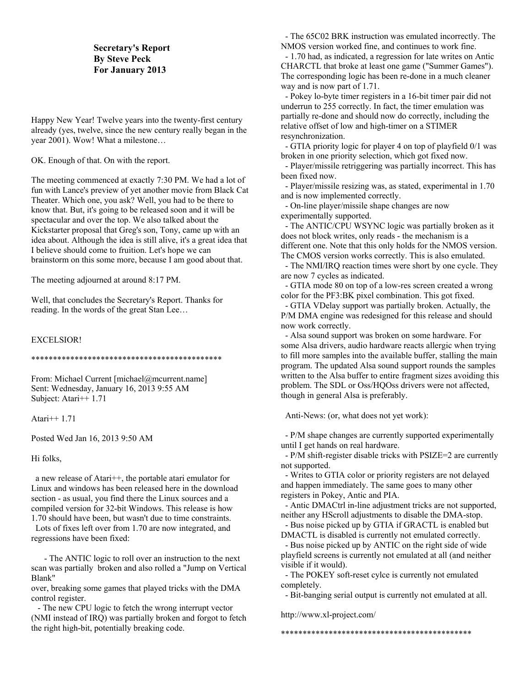## **Secretary's Report By Steve Peck For January 2013**

Happy New Year! Twelve years into the twenty-first century already (yes, twelve, since the new century really began in the year 2001). Wow! What a milestone…

OK. Enough of that. On with the report.

The meeting commenced at exactly 7:30 PM. We had a lot of fun with Lance's preview of yet another movie from Black Cat Theater. Which one, you ask? Well, you had to be there to know that. But, it's going to be released soon and it will be spectacular and over the top. We also talked about the Kickstarter proposal that Greg's son, Tony, came up with an idea about. Although the idea is still alive, it's a great idea that I believe should come to fruition. Let's hope we can brainstorm on this some more, because I am good about that.

The meeting adjourned at around 8:17 PM.

Well, that concludes the Secretary's Report. Thanks for reading. In the words of the great Stan Lee…

## EXCELSIOR!

\*\*\*\*\*\*\*\*\*\*\*\*\*\*\*\*\*\*\*\*\*\*\*\*\*\*\*\*\*\*\*\*\*\*\*\*\*\*\*\*\*\*\*\*

From: Michael Current [michael@mcurrent.name] Sent: Wednesday, January 16, 2013 9:55 AM Subject: Atari++ 1.71

Atari++ 1.71

Posted Wed Jan 16, 2013 9:50 AM

Hi folks,

 a new release of Atari++, the portable atari emulator for Linux and windows has been released here in the download section - as usual, you find there the Linux sources and a compiled version for 32-bit Windows. This release is how 1.70 should have been, but wasn't due to time constraints. Lots of fixes left over from 1.70 are now integrated, and regressions have been fixed:

 - The ANTIC logic to roll over an instruction to the next scan was partially broken and also rolled a "Jump on Vertical Blank"

over, breaking some games that played tricks with the DMA control register.

 - The new CPU logic to fetch the wrong interrupt vector (NMI instead of IRQ) was partially broken and forgot to fetch the right high-bit, potentially breaking code.

 - The 65C02 BRK instruction was emulated incorrectly. The NMOS version worked fine, and continues to work fine.

 - 1.70 had, as indicated, a regression for late writes on Antic CHARCTL that broke at least one game ("Summer Games"). The corresponding logic has been re-done in a much cleaner way and is now part of 1.71.

 - Pokey lo-byte timer registers in a 16-bit timer pair did not underrun to 255 correctly. In fact, the timer emulation was partially re-done and should now do correctly, including the relative offset of low and high-timer on a STIMER resynchronization.

 - GTIA priority logic for player 4 on top of playfield 0/1 was broken in one priority selection, which got fixed now.

 - Player/missile retriggering was partially incorrect. This has been fixed now.

 - Player/missile resizing was, as stated, experimental in 1.70 and is now implemented correctly.

 - On-line player/missile shape changes are now experimentally supported.

 - The ANTIC/CPU WSYNC logic was partially broken as it does not block writes, only reads - the mechanism is a different one. Note that this only holds for the NMOS version. The CMOS version works correctly. This is also emulated.

 - The NMI/IRQ reaction times were short by one cycle. They are now 7 cycles as indicated.

 - GTIA mode 80 on top of a low-res screen created a wrong color for the PF3:BK pixel combination. This got fixed.

 - GTIA VDelay support was partially broken. Actually, the P/M DMA engine was redesigned for this release and should now work correctly.

 - Alsa sound support was broken on some hardware. For some Alsa drivers, audio hardware reacts allergic when trying to fill more samples into the available buffer, stalling the main program. The updated Alsa sound support rounds the samples written to the Alsa buffer to entire fragment sizes avoiding this problem. The SDL or Oss/HQOss drivers were not affected, though in general Alsa is preferably.

Anti-News: (or, what does not yet work):

 - P/M shape changes are currently supported experimentally until I get hands on real hardware.

 - P/M shift-register disable tricks with PSIZE=2 are currently not supported.

 - Writes to GTIA color or priority registers are not delayed and happen immediately. The same goes to many other registers in Pokey, Antic and PIA.

 - Antic DMACtrl in-line adjustment tricks are not supported, neither any HScroll adjustments to disable the DMA-stop.

 - Bus noise picked up by GTIA if GRACTL is enabled but DMACTL is disabled is currently not emulated correctly.

 - Bus noise picked up by ANTIC on the right side of wide playfield screens is currently not emulated at all (and neither visible if it would).

 - The POKEY soft-reset cylce is currently not emulated completely.

- Bit-banging serial output is currently not emulated at all.

http://www.xl-project.com/

\*\*\*\*\*\*\*\*\*\*\*\*\*\*\*\*\*\*\*\*\*\*\*\*\*\*\*\*\*\*\*\*\*\*\*\*\*\*\*\*\*\*\*\*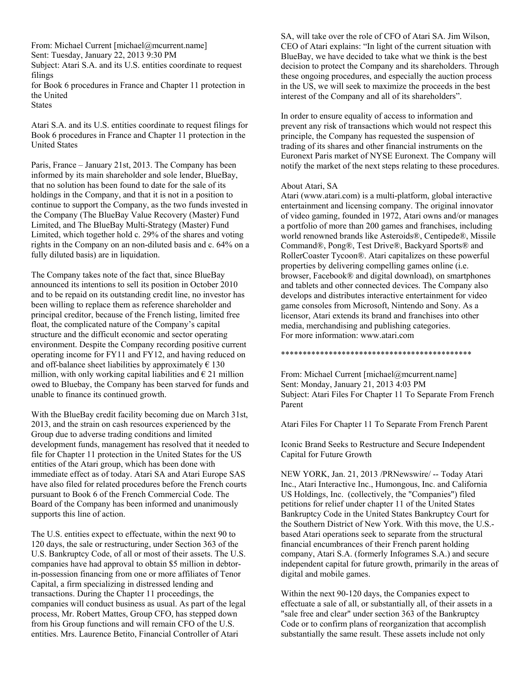From: Michael Current [michael@mcurrent.name] Sent: Tuesday, January 22, 2013 9:30 PM Subject: Atari S.A. and its U.S. entities coordinate to request filings for Book 6 procedures in France and Chapter 11 protection in the United

States

Atari S.A. and its U.S. entities coordinate to request filings for Book 6 procedures in France and Chapter 11 protection in the United States

Paris, France – January 21st, 2013. The Company has been informed by its main shareholder and sole lender, BlueBay, that no solution has been found to date for the sale of its holdings in the Company, and that it is not in a position to continue to support the Company, as the two funds invested in the Company (The BlueBay Value Recovery (Master) Fund Limited, and The BlueBay Multi-Strategy (Master) Fund Limited, which together hold c. 29% of the shares and voting rights in the Company on an non-diluted basis and c. 64% on a fully diluted basis) are in liquidation.

The Company takes note of the fact that, since BlueBay announced its intentions to sell its position in October 2010 and to be repaid on its outstanding credit line, no investor has been willing to replace them as reference shareholder and principal creditor, because of the French listing, limited free float, the complicated nature of the Company's capital structure and the difficult economic and sector operating environment. Despite the Company recording positive current operating income for FY11 and FY12, and having reduced on and off-balance sheet liabilities by approximately  $\epsilon$  130 million, with only working capital liabilities and  $\epsilon$  21 million owed to Bluebay, the Company has been starved for funds and unable to finance its continued growth.

With the BlueBay credit facility becoming due on March 31st, 2013, and the strain on cash resources experienced by the Group due to adverse trading conditions and limited development funds, management has resolved that it needed to file for Chapter 11 protection in the United States for the US entities of the Atari group, which has been done with immediate effect as of today. Atari SA and Atari Europe SAS have also filed for related procedures before the French courts pursuant to Book 6 of the French Commercial Code. The Board of the Company has been informed and unanimously supports this line of action.

The U.S. entities expect to effectuate, within the next 90 to 120 days, the sale or restructuring, under Section 363 of the U.S. Bankruptcy Code, of all or most of their assets. The U.S. companies have had approval to obtain \$5 million in debtorin-possession financing from one or more affiliates of Tenor Capital, a firm specializing in distressed lending and transactions. During the Chapter 11 proceedings, the companies will conduct business as usual. As part of the legal process, Mr. Robert Mattes, Group CFO, has stepped down from his Group functions and will remain CFO of the U.S. entities. Mrs. Laurence Betito, Financial Controller of Atari

SA, will take over the role of CFO of Atari SA. Jim Wilson, CEO of Atari explains: "In light of the current situation with BlueBay, we have decided to take what we think is the best decision to protect the Company and its shareholders. Through these ongoing procedures, and especially the auction process in the US, we will seek to maximize the proceeds in the best interest of the Company and all of its shareholders".

In order to ensure equality of access to information and prevent any risk of transactions which would not respect this principle, the Company has requested the suspension of trading of its shares and other financial instruments on the Euronext Paris market of NYSE Euronext. The Company will notify the market of the next steps relating to these procedures.

## About Atari, SA

Atari (www.atari.com) is a multi-platform, global interactive entertainment and licensing company. The original innovator of video gaming, founded in 1972, Atari owns and/or manages a portfolio of more than 200 games and franchises, including world renowned brands like Asteroids®, Centipede®, Missile Command®, Pong®, Test Drive®, Backyard Sports® and RollerCoaster Tycoon®. Atari capitalizes on these powerful properties by delivering compelling games online (i.e. browser, Facebook® and digital download), on smartphones and tablets and other connected devices. The Company also develops and distributes interactive entertainment for video game consoles from Microsoft, Nintendo and Sony. As a licensor, Atari extends its brand and franchises into other media, merchandising and publishing categories. For more information: www.atari.com

#### \*\*\*\*\*\*\*\*\*\*\*\*\*\*\*\*\*\*\*\*\*\*\*\*\*\*\*\*\*\*\*\*\*\*\*\*\*\*\*\*\*\*\*\*

From: Michael Current [michael@mcurrent.name] Sent: Monday, January 21, 2013 4:03 PM Subject: Atari Files For Chapter 11 To Separate From French Parent

Atari Files For Chapter 11 To Separate From French Parent

Iconic Brand Seeks to Restructure and Secure Independent Capital for Future Growth

NEW YORK, Jan. 21, 2013 /PRNewswire/ -- Today Atari Inc., Atari Interactive Inc., Humongous, Inc. and California US Holdings, Inc. (collectively, the "Companies") filed petitions for relief under chapter 11 of the United States Bankruptcy Code in the United States Bankruptcy Court for the Southern District of New York. With this move, the U.S. based Atari operations seek to separate from the structural financial encumbrances of their French parent holding company, Atari S.A. (formerly Infogrames S.A.) and secure independent capital for future growth, primarily in the areas of digital and mobile games.

Within the next 90-120 days, the Companies expect to effectuate a sale of all, or substantially all, of their assets in a "sale free and clear" under section 363 of the Bankruptcy Code or to confirm plans of reorganization that accomplish substantially the same result. These assets include not only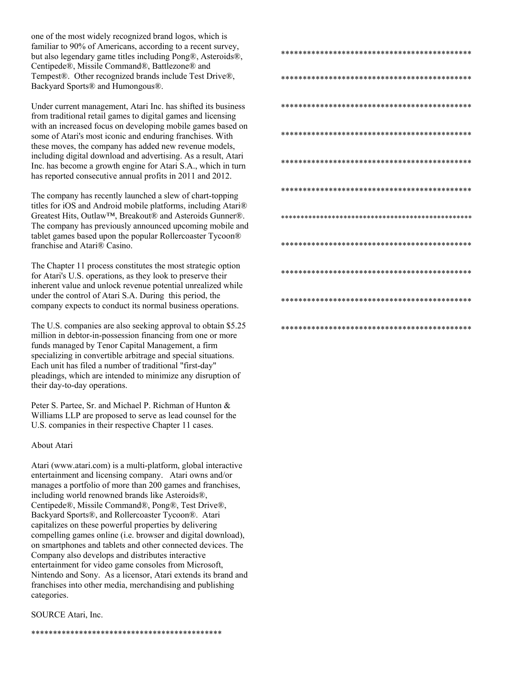one of the most widely recognized brand logos, which is familiar to 90% of Americans, according to a recent survey, but also legendary game titles including Pong®, Asteroids®, Centipede®, Missile Command®, Battlezone® and Tempest®. Other recognized brands include Test Drive®, Backyard Sports® and Humongous®.

Under current management, Atari Inc. has shifted its business from traditional retail games to digital games and licensing with an increased focus on developing mobile games based on some of Atari's most iconic and enduring franchises. With these moves, the company has added new revenue models, including digital download and advertising. As a result, Atari Inc. has become a growth engine for Atari S.A., which in turn has reported consecutive annual profits in 2011 and 2012.

The company has recently launched a slew of chart-topping titles for iOS and Android mobile platforms, including Atari® Greatest Hits, Outlaw™, Breakout® and Asteroids Gunner®. The company has previously announced upcoming mobile and tablet games based upon the popular Rollercoaster Tycoon® franchise and Atari® Casino.

The Chapter 11 process constitutes the most strategic option for Atari's U.S. operations, as they look to preserve their inherent value and unlock revenue potential unrealized while under the control of Atari S.A. During this period, the company expects to conduct its normal business operations.

The U.S. companies are also seeking approval to obtain \$5.25 million in debtor-in-possession financing from one or more funds managed by Tenor Capital Management, a firm specializing in convertible arbitrage and special situations. Each unit has filed a number of traditional "first-day" pleadings, which are intended to minimize any disruption of their day-to-day operations.

Peter S. Partee, Sr. and Michael P. Richman of Hunton & Williams LLP are proposed to serve as lead counsel for the U.S. companies in their respective Chapter 11 cases.

## About Atari

Atari (www.atari.com) is a multi-platform, global interactive entertainment and licensing company. Atari owns and/or manages a portfolio of more than 200 games and franchises, including world renowned brands like Asteroids®, Centipede®, Missile Command®, Pong®, Test Drive®, Backyard Sports®, and Rollercoaster Tycoon®. Atari capitalizes on these powerful properties by delivering compelling games online (i.e. browser and digital download), on smartphones and tablets and other connected devices. The Company also develops and distributes interactive entertainment for video game consoles from Microsoft, Nintendo and Sony. As a licensor, Atari extends its brand and franchises into other media, merchandising and publishing categories.

\*\*\*\*\*\*\*\*\*\*\*\*\*\*\*\*\*\*\*\*\*\*\*\*\*\*\*\*\*\*\*\*\*\*\*\*\*\*\*\*\*\*\*\*

SOURCE Atari, Inc.

\*\*\*\*\*\*\*\*\*\*\*\*\*\*\*\*\*\*\*\*\*\*\*\*\*\*\*\*\*\*\*\*\*\*\*\*\*\*\*\*\*\*\*\* \*\*\*\*\*\*\*\*\*\*\*\*\*\*\*\*\*\*\*\*\*\*\*\*\*\*\*\*\*\*\*\*\*\*\*\*\*\*\*\*\*\*\*\* \*\*\*\*\*\*\*\*\*\*\*\*\*\*\*\*\*\*\*\*\*\*\*\*\*\*\*\*\*\*\*\*\*\*\*\*\*\*\*\*\*\*\*\* \*\*\*\*\*\*\*\*\*\*\*\*\*\*\*\*\*\*\*\*\*\*\*\*\*\*\*\*\*\*\*\*\*\*\*\*\*\*\*\*\*\*\*\* \*\*\*\*\*\*\*\*\*\*\*\*\*\*\*\*\*\*\*\*\*\*\*\*\*\*\*\*\*\*\*\*\*\*\*\*\*\*\*\*\*\*\*\* \*\*\*\*\*\*\*\*\*\*\*\*\*\*\*\*\*\*\*\*\*\*\*\*\*\*\*\*\*\*\*\*\*\*\*\*\*\*\*\*\*\*\*\* \*\*\*\*\*\*\*\*\*\*\*\*\*\*\*\*\*\*\*\*\*\*\*\*\*\*\*\*\*\*\*\*\*\*\*\*\*\*\*\*\*\*\*\*\*\*\*\*\* \*\*\*\*\*\*\*\*\*\*\*\*\*\*\*\*\*\*\*\*\*\*\*\*\*\*\*\*\*\*\*\*\*\*\*\*\*\*\*\*\*\*\*\* \*\*\*\*\*\*\*\*\*\*\*\*\*\*\*\*\*\*\*\*\*\*\*\*\*\*\*\*\*\*\*\*\*\*\*\*\*\*\*\*\*\*\*\* \*\*\*\*\*\*\*\*\*\*\*\*\*\*\*\*\*\*\*\*\*\*\*\*\*\*\*\*\*\*\*\*\*\*\*\*\*\*\*\*\*\*\*\* \*\*\*\*\*\*\*\*\*\*\*\*\*\*\*\*\*\*\*\*\*\*\*\*\*\*\*\*\*\*\*\*\*\*\*\*\*\*\*\*\*\*\*\*